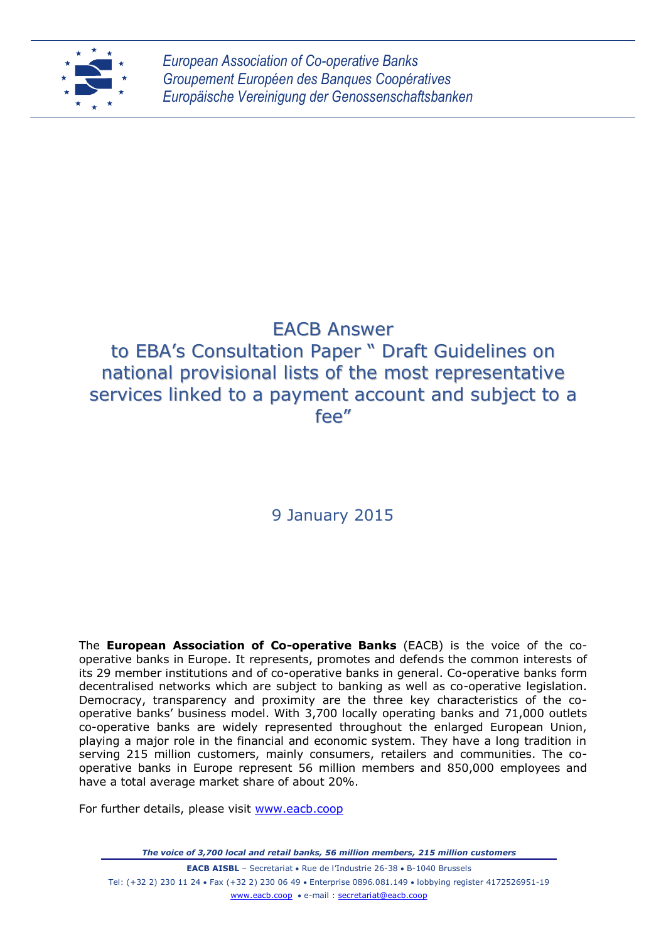

*European Association of Co-operative Banks Groupement Européen des Banques Coopératives Europäische Vereinigung der Genossenschaftsbanken*

# EACB Answer to EBA's Consultation Paper " Draft Guidelines on national provisional lists of the most representative

# services linked to a payment account and subject to a fee"

# 9 January 2015

The **European Association of Co-operative Banks** (EACB) is the voice of the cooperative banks in Europe. It represents, promotes and defends the common interests of its 29 member institutions and of co-operative banks in general. Co-operative banks form decentralised networks which are subject to banking as well as co-operative legislation. Democracy, transparency and proximity are the three key characteristics of the cooperative banks' business model. With 3,700 locally operating banks and 71,000 outlets co-operative banks are widely represented throughout the enlarged European Union, playing a major role in the financial and economic system. They have a long tradition in serving 215 million customers, mainly consumers, retailers and communities. The cooperative banks in Europe represent 56 million members and 850,000 employees and have a total average market share of about 20%.

For further details, please visit [www.eacb.coop](http://www.eacb.coop/)

*The voice of 3,700 local and retail banks, 56 million members, 215 million customers*

**EACB AISBL** – Secretariat • Rue de l'Industrie 26-38 • B-1040 Brussels Tel: (+32 2) 230 11 24 Fax (+32 2) 230 06 49 Enterprise 0896.081.149 lobbying register 4172526951-19 [www.eacb.coop](http://www.eacb.coop/) e-mail : [secretariat@eacb.coop](mailto:secretariat@eacb.coop)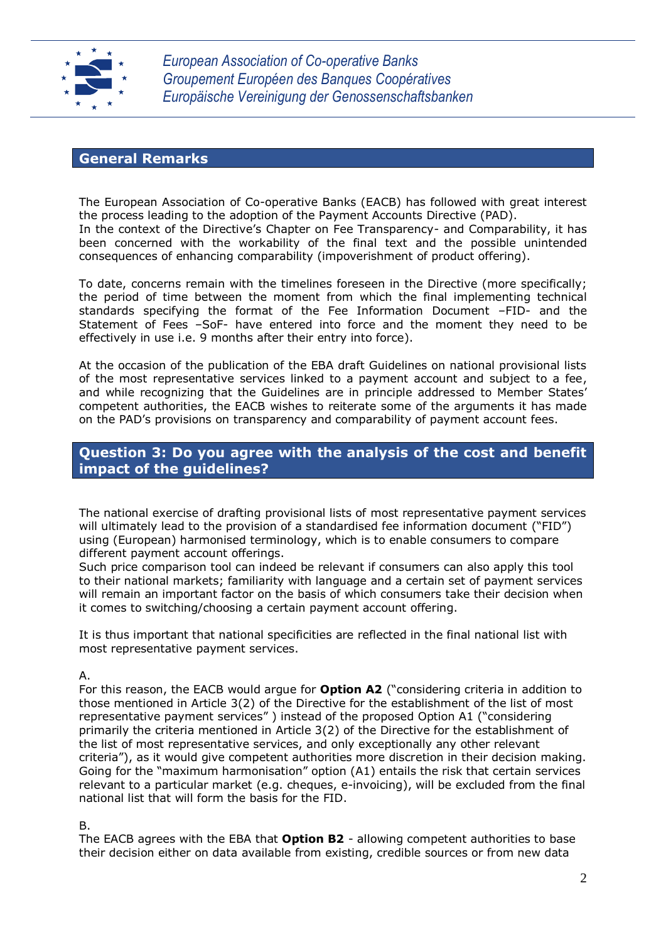

*European Association of Co-operative Banks Groupement Européen des Banques Coopératives Europäische Vereinigung der Genossenschaftsbanken*

## **General Remarks**

The European Association of Co-operative Banks (EACB) has followed with great interest the process leading to the adoption of the Payment Accounts Directive (PAD). In the context of the Directive's Chapter on Fee Transparency- and Comparability, it has been concerned with the workability of the final text and the possible unintended consequences of enhancing comparability (impoverishment of product offering).

To date, concerns remain with the timelines foreseen in the Directive (more specifically; the period of time between the moment from which the final implementing technical standards specifying the format of the Fee Information Document –FID- and the Statement of Fees –SoF- have entered into force and the moment they need to be effectively in use i.e. 9 months after their entry into force).

At the occasion of the publication of the EBA draft Guidelines on national provisional lists of the most representative services linked to a payment account and subject to a fee, and while recognizing that the Guidelines are in principle addressed to Member States' competent authorities, the EACB wishes to reiterate some of the arguments it has made on the PAD's provisions on transparency and comparability of payment account fees.

## **Question 3: Do you agree with the analysis of the cost and benefit impact of the guidelines?**

The national exercise of drafting provisional lists of most representative payment services will ultimately lead to the provision of a standardised fee information document ("FID") using (European) harmonised terminology, which is to enable consumers to compare different payment account offerings.

Such price comparison tool can indeed be relevant if consumers can also apply this tool to their national markets; familiarity with language and a certain set of payment services will remain an important factor on the basis of which consumers take their decision when it comes to switching/choosing a certain payment account offering.

It is thus important that national specificities are reflected in the final national list with most representative payment services.

A.

For this reason, the EACB would argue for **Option A2** ("considering criteria in addition to those mentioned in Article 3(2) of the Directive for the establishment of the list of most representative payment services" ) instead of the proposed Option A1 ("considering primarily the criteria mentioned in Article 3(2) of the Directive for the establishment of the list of most representative services, and only exceptionally any other relevant criteria"), as it would give competent authorities more discretion in their decision making. Going for the "maximum harmonisation" option (A1) entails the risk that certain services relevant to a particular market (e.g. cheques, e-invoicing), will be excluded from the final national list that will form the basis for the FID.

#### B.

The EACB agrees with the EBA that **Option B2** - allowing competent authorities to base their decision either on data available from existing, credible sources or from new data